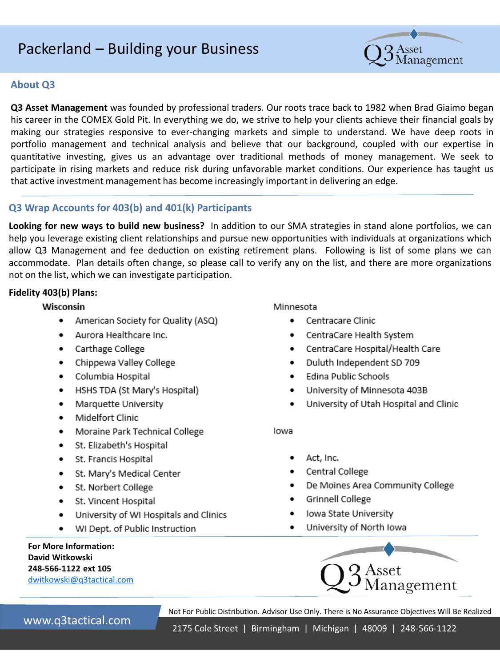# Packerland - Building your Business



# **About O3**

Q3 Asset Management was founded by professional traders. Our roots trace back to 1982 when Brad Giaimo began his career in the COMEX Gold Pit. In everything we do, we strive to help your clients achieve their financial goals by making our strategies responsive to ever-changing markets and simple to understand. We have deep roots in portfolio management and technical analysis and believe that our background, coupled with our expertise in quantitative investing, gives us an advantage over traditional methods of money management. We seek to participate in rising markets and reduce risk during unfavorable market conditions. Our experience has taught us that active investment management has become increasingly important in delivering an edge.

# Q3 Wrap Accounts for 403(b) and 401(k) Participants

Looking for new ways to build new business? In addition to our SMA strategies in stand alone portfolios, we can help you leverage existing client relationships and pursue new opportunities with individuals at organizations which allow Q3 Management and fee deduction on existing retirement plans. Following is list of some plans we can accommodate. Plan details often change, so please call to verify any on the list, and there are more organizations not on the list, which we can investigate participation.

## Fidelity 403(b) Plans:

## Wisconsin

- ٠ American Society for Quality (ASQ)
- Aurora Healthcare Inc.  $\bullet$
- Carthage College  $\bullet$
- Chippewa Valley College  $\bullet$
- Columbia Hospital
- $\bullet$ HSHS TDA (St Mary's Hospital)
- Marquette University  $\bullet$
- Midelfort Clinic  $\bullet$
- Moraine Park Technical College  $\bullet$
- · St. Elizabeth's Hospital
- ٠ St. Francis Hospital
- $\bullet$ St. Mary's Medical Center
- St. Norbert College ٠
- St. Vincent Hospital ٠
- University of WI Hospitals and Clinics ٠
- WI Dept. of Public Instruction ٠

**For More Information:** David Witkowski 248-566-1122 ext 105 dwitkowski@q3tactical.com Minnesota

- Centracare Clinic
- CentraCare Health System .
- CentraCare Hospital/Health Care ٠
- Duluth Independent SD 709  $\bullet$
- Edina Public Schools
- University of Minnesota 403B ٠
- University of Utah Hospital and Clinic ٠

lowa

- ٠ Act, Inc.
- Central College
- De Moines Area Community College
- Grinnell College
- Iowa State University ٠
- University of North Iowa



Not For Public Distribution. Advisor Use Only. There is No Assurance Objectives Will Be Realized